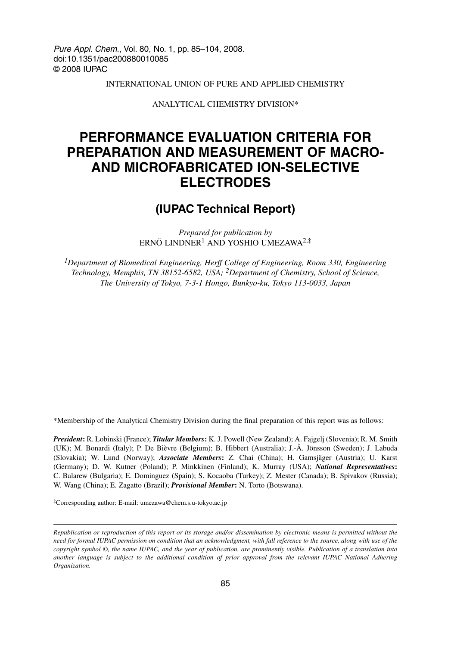Pure Appl. Chem., Vol. 80, No. 1, pp. 85–104, 2008. doi:10.1351/pac200880010085 © 2008 IUPAC

INTERNATIONAL UNION OF PURE AND APPLIED CHEMISTRY

ANALYTICAL CHEMISTRY DIVISION\*

# **PERFORMANCE EVALUATION CRITERIA FOR PREPARATION AND MEASUREMENT OF MACRO-AND MICROFABRICATED ION-SELECTIVE ELECTRODES**

# **(IUPAC Technical Report)**

*Prepared for publication by* ERNŐ LINDNER<sup>1</sup> AND YOSHIO UMEZAWA<sup>2,‡</sup>

*1Department of Biomedical Engineering, Herff College of Engineering, Room 330, Engineering Technology, Memphis, TN 38152-6582, USA; 2Department of Chemistry, School of Science, The University of Tokyo, 7-3-1 Hongo, Bunkyo-ku, Tokyo 113-0033, Japan*

\*Membership of the Analytical Chemistry Division during the final preparation of this report was as follows:

*President***:** R. Lobinski (France); *Titular Members***:** K. J. Powell (New Zealand); A. Fajgelj (Slovenia); R. M. Smith (UK); M. Bonardi (Italy); P. De Bièvre (Belgium); B. Hibbert (Australia); J.-Å. Jönsson (Sweden); J. Labuda (Slovakia); W. Lund (Norway); *Associate Members***:** Z. Chai (China); H. Gamsjäger (Austria); U. Karst (Germany); D. W. Kutner (Poland); P. Minkkinen (Finland); K. Murray (USA); *National Representatives***:** C. Balarew (Bulgaria); E. Dominguez (Spain); S. Kocaoba (Turkey); Z. Mester (Canada); B. Spivakov (Russia); W. Wang (China); E. Zagatto (Brazil); *Provisional Member***:** N. Torto (Botswana).

‡Corresponding author: E-mail: umezawa@chem.s.u-tokyo.ac.jp

*Republication or reproduction of this report or its storage and/or dissemination by electronic means is permitted without the need for formal IUPAC permission on condition that an acknowledgment, with full reference to the source, along with use of the copyright symbol ©, the name IUPAC, and the year of publication, are prominently visible. Publication of a translation into another language is subject to the additional condition of prior approval from the relevant IUPAC National Adhering Organization.*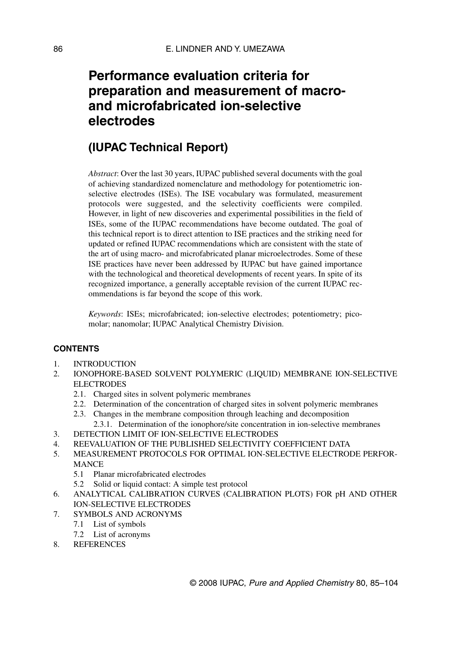# **Performance evaluation criteria for preparation and measurement of macroand microfabricated ion-selective electrodes**

# **(IUPAC Technical Report)**

*Abstract*: Over the last 30 years, IUPAC published several documents with the goal of achieving standardized nomenclature and methodology for potentiometric ionselective electrodes (ISEs). The ISE vocabulary was formulated, measurement protocols were suggested, and the selectivity coefficients were compiled. However, in light of new discoveries and experimental possibilities in the field of ISEs, some of the IUPAC recommendations have become outdated. The goal of this technical report is to direct attention to ISE practices and the striking need for updated or refined IUPAC recommendations which are consistent with the state of the art of using macro- and microfabricated planar microelectrodes. Some of these ISE practices have never been addressed by IUPAC but have gained importance with the technological and theoretical developments of recent years. In spite of its recognized importance, a generally acceptable revision of the current IUPAC recommendations is far beyond the scope of this work.

*Keywords*: ISEs; microfabricated; ion-selective electrodes; potentiometry; picomolar; nanomolar; IUPAC Analytical Chemistry Division.

## **CONTENTS**

- 1. INTRODUCTION
- 2. IONOPHORE-BASED SOLVENT POLYMERIC (LIQUID) MEMBRANE ION-SELECTIVE ELECTRODES
	- 2.1. Charged sites in solvent polymeric membranes
	- 2.2. Determination of the concentration of charged sites in solvent polymeric membranes
	- 2.3. Changes in the membrane composition through leaching and decomposition 2.3.1. Determination of the ionophore/site concentration in ion-selective membranes
- 3. DETECTION LIMIT OF ION-SELECTIVE ELECTRODES
- 4. REEVALUATION OF THE PUBLISHED SELECTIVITY COEFFICIENT DATA
- 5. MEASUREMENT PROTOCOLS FOR OPTIMAL ION-SELECTIVE ELECTRODE PERFOR-**MANCE** 
	- 5.1 Planar microfabricated electrodes
	- 5.2 Solid or liquid contact: A simple test protocol
- 6. ANALYTICAL CALIBRATION CURVES (CALIBRATION PLOTS) FOR pH AND OTHER ION-SELECTIVE ELECTRODES
- 7. SYMBOLS AND ACRONYMS
	- 7.1 List of symbols
	- 7.2 List of acronyms
- 8. REFERENCES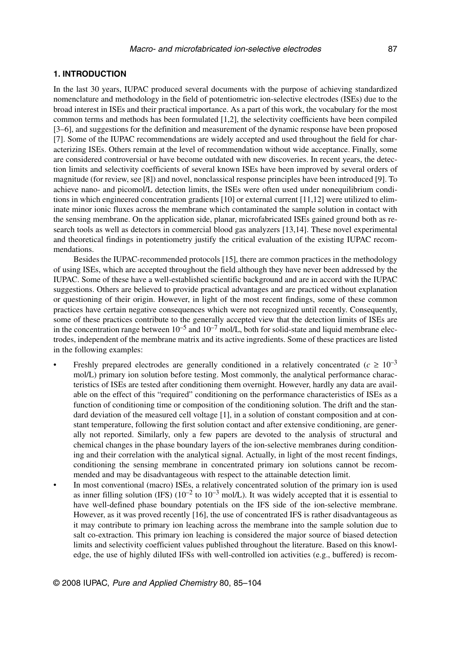#### **1. INTRODUCTION**

In the last 30 years, IUPAC produced several documents with the purpose of achieving standardized nomenclature and methodology in the field of potentiometric ion-selective electrodes (ISEs) due to the broad interest in ISEs and their practical importance. As a part of this work, the vocabulary for the most common terms and methods has been formulated [1,2], the selectivity coefficients have been compiled [3–6], and suggestions for the definition and measurement of the dynamic response have been proposed [7]. Some of the IUPAC recommendations are widely accepted and used throughout the field for characterizing ISEs. Others remain at the level of recommendation without wide acceptance. Finally, some are considered controversial or have become outdated with new discoveries. In recent years, the detection limits and selectivity coefficients of several known ISEs have been improved by several orders of magnitude (for review, see [8]) and novel, nonclassical response principles have been introduced [9]. To achieve nano- and picomol/L detection limits, the ISEs were often used under nonequilibrium conditions in which engineered concentration gradients [10] or external current [11,12] were utilized to eliminate minor ionic fluxes across the membrane which contaminated the sample solution in contact with the sensing membrane. On the application side, planar, microfabricated ISEs gained ground both as research tools as well as detectors in commercial blood gas analyzers [13,14]. These novel experimental and theoretical findings in potentiometry justify the critical evaluation of the existing IUPAC recommendations.

Besides the IUPAC-recommended protocols [15], there are common practices in the methodology of using ISEs, which are accepted throughout the field although they have never been addressed by the IUPAC. Some of these have a well-established scientific background and are in accord with the IUPAC suggestions. Others are believed to provide practical advantages and are practiced without explanation or questioning of their origin. However, in light of the most recent findings, some of these common practices have certain negative consequences which were not recognized until recently. Consequently, some of these practices contribute to the generally accepted view that the detection limits of ISEs are in the concentration range between  $10^{-5}$  and  $10^{-7}$  mol/L, both for solid-state and liquid membrane electrodes, independent of the membrane matrix and its active ingredients. Some of these practices are listed in the following examples:

- Freshly prepared electrodes are generally conditioned in a relatively concentrated ( $c \geq 10^{-3}$ ) mol/L) primary ion solution before testing. Most commonly, the analytical performance characteristics of ISEs are tested after conditioning them overnight. However, hardly any data are available on the effect of this "required" conditioning on the performance characteristics of ISEs as a function of conditioning time or composition of the conditioning solution. The drift and the standard deviation of the measured cell voltage [1], in a solution of constant composition and at constant temperature, following the first solution contact and after extensive conditioning, are generally not reported. Similarly, only a few papers are devoted to the analysis of structural and chemical changes in the phase boundary layers of the ion-selective membranes during conditioning and their correlation with the analytical signal. Actually, in light of the most recent findings, conditioning the sensing membrane in concentrated primary ion solutions cannot be recommended and may be disadvantageous with respect to the attainable detection limit.
- In most conventional (macro) ISEs, a relatively concentrated solution of the primary ion is used as inner filling solution (IFS)  $(10^{-2}$  to  $10^{-3}$  mol/L). It was widely accepted that it is essential to have well-defined phase boundary potentials on the IFS side of the ion-selective membrane. However, as it was proved recently [16], the use of concentrated IFS is rather disadvantageous as it may contribute to primary ion leaching across the membrane into the sample solution due to salt co-extraction. This primary ion leaching is considered the major source of biased detection limits and selectivity coefficient values published throughout the literature. Based on this knowledge, the use of highly diluted IFSs with well-controlled ion activities (e.g., buffered) is recom-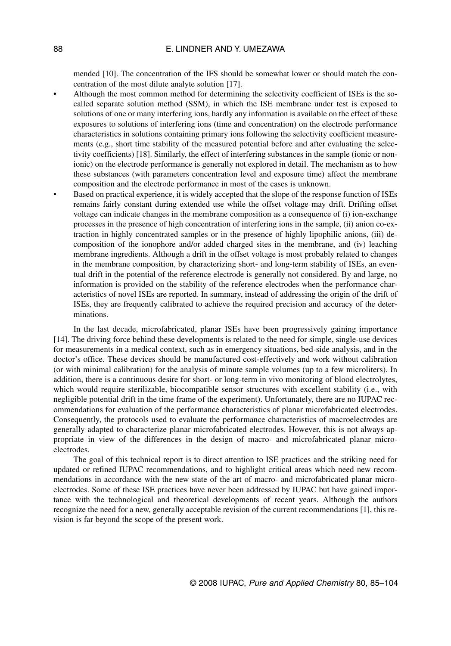mended [10]. The concentration of the IFS should be somewhat lower or should match the concentration of the most dilute analyte solution [17].

- Although the most common method for determining the selectivity coefficient of ISEs is the socalled separate solution method (SSM), in which the ISE membrane under test is exposed to solutions of one or many interfering ions, hardly any information is available on the effect of these exposures to solutions of interfering ions (time and concentration) on the electrode performance characteristics in solutions containing primary ions following the selectivity coefficient measurements (e.g., short time stability of the measured potential before and after evaluating the selectivity coefficients) [18]. Similarly, the effect of interfering substances in the sample (ionic or nonionic) on the electrode performance is generally not explored in detail. The mechanism as to how these substances (with parameters concentration level and exposure time) affect the membrane composition and the electrode performance in most of the cases is unknown.
- Based on practical experience, it is widely accepted that the slope of the response function of ISEs remains fairly constant during extended use while the offset voltage may drift. Drifting offset voltage can indicate changes in the membrane composition as a consequence of (i) ion-exchange processes in the presence of high concentration of interfering ions in the sample, (ii) anion co-extraction in highly concentrated samples or in the presence of highly lipophilic anions, (iii) decomposition of the ionophore and/or added charged sites in the membrane, and (iv) leaching membrane ingredients. Although a drift in the offset voltage is most probably related to changes in the membrane composition, by characterizing short- and long-term stability of ISEs, an eventual drift in the potential of the reference electrode is generally not considered. By and large, no information is provided on the stability of the reference electrodes when the performance characteristics of novel ISEs are reported. In summary, instead of addressing the origin of the drift of ISEs, they are frequently calibrated to achieve the required precision and accuracy of the determinations.

In the last decade, microfabricated, planar ISEs have been progressively gaining importance [14]. The driving force behind these developments is related to the need for simple, single-use devices for measurements in a medical context, such as in emergency situations, bed-side analysis, and in the doctor's office. These devices should be manufactured cost-effectively and work without calibration (or with minimal calibration) for the analysis of minute sample volumes (up to a few microliters). In addition, there is a continuous desire for short- or long-term in vivo monitoring of blood electrolytes, which would require sterilizable, biocompatible sensor structures with excellent stability (i.e., with negligible potential drift in the time frame of the experiment). Unfortunately, there are no IUPAC recommendations for evaluation of the performance characteristics of planar microfabricated electrodes. Consequently, the protocols used to evaluate the performance characteristics of macroelectrodes are generally adapted to characterize planar microfabricated electrodes. However, this is not always appropriate in view of the differences in the design of macro- and microfabricated planar microelectrodes.

The goal of this technical report is to direct attention to ISE practices and the striking need for updated or refined IUPAC recommendations, and to highlight critical areas which need new recommendations in accordance with the new state of the art of macro- and microfabricated planar microelectrodes. Some of these ISE practices have never been addressed by IUPAC but have gained importance with the technological and theoretical developments of recent years. Although the authors recognize the need for a new, generally acceptable revision of the current recommendations [1], this revision is far beyond the scope of the present work.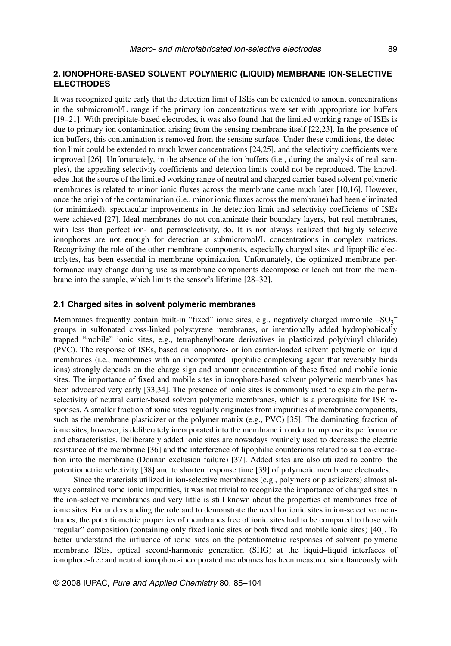## **2. IONOPHORE-BASED SOLVENT POLYMERIC (LIQUID) MEMBRANE ION-SELECTIVE ELECTRODES**

It was recognized quite early that the detection limit of ISEs can be extended to amount concentrations in the submicromol/L range if the primary ion concentrations were set with appropriate ion buffers [19–21]. With precipitate-based electrodes, it was also found that the limited working range of ISEs is due to primary ion contamination arising from the sensing membrane itself [22,23]. In the presence of ion buffers, this contamination is removed from the sensing surface. Under these conditions, the detection limit could be extended to much lower concentrations [24,25], and the selectivity coefficients were improved [26]. Unfortunately, in the absence of the ion buffers (i.e., during the analysis of real samples), the appealing selectivity coefficients and detection limits could not be reproduced. The knowledge that the source of the limited working range of neutral and charged carrier-based solvent polymeric membranes is related to minor ionic fluxes across the membrane came much later [10,16]. However, once the origin of the contamination (i.e., minor ionic fluxes across the membrane) had been eliminated (or minimized), spectacular improvements in the detection limit and selectivity coefficients of ISEs were achieved [27]. Ideal membranes do not contaminate their boundary layers, but real membranes, with less than perfect ion- and permselectivity, do. It is not always realized that highly selective ionophores are not enough for detection at submicromol/L concentrations in complex matrices. Recognizing the role of the other membrane components, especially charged sites and lipophilic electrolytes, has been essential in membrane optimization. Unfortunately, the optimized membrane performance may change during use as membrane components decompose or leach out from the membrane into the sample, which limits the sensor's lifetime [28–32].

#### **2.1 Charged sites in solvent polymeric membranes**

Membranes frequently contain built-in "fixed" ionic sites, e.g., negatively charged immobile  $-SO_3^$ groups in sulfonated cross-linked polystyrene membranes, or intentionally added hydrophobically trapped "mobile" ionic sites, e.g., tetraphenylborate derivatives in plasticized poly(vinyl chloride) (PVC). The response of ISEs, based on ionophore- or ion carrier-loaded solvent polymeric or liquid membranes (i.e., membranes with an incorporated lipophilic complexing agent that reversibly binds ions) strongly depends on the charge sign and amount concentration of these fixed and mobile ionic sites. The importance of fixed and mobile sites in ionophore-based solvent polymeric membranes has been advocated very early [33,34]. The presence of ionic sites is commonly used to explain the permselectivity of neutral carrier-based solvent polymeric membranes, which is a prerequisite for ISE responses. A smaller fraction of ionic sites regularly originates from impurities of membrane components, such as the membrane plasticizer or the polymer matrix (e.g., PVC) [35]. The dominating fraction of ionic sites, however, is deliberately incorporated into the membrane in order to improve its performance and characteristics. Deliberately added ionic sites are nowadays routinely used to decrease the electric resistance of the membrane [36] and the interference of lipophilic counterions related to salt co-extraction into the membrane (Donnan exclusion failure) [37]. Added sites are also utilized to control the potentiometric selectivity [38] and to shorten response time [39] of polymeric membrane electrodes.

Since the materials utilized in ion-selective membranes (e.g., polymers or plasticizers) almost always contained some ionic impurities, it was not trivial to recognize the importance of charged sites in the ion-selective membranes and very little is still known about the properties of membranes free of ionic sites. For understanding the role and to demonstrate the need for ionic sites in ion-selective membranes, the potentiometric properties of membranes free of ionic sites had to be compared to those with "regular" composition (containing only fixed ionic sites or both fixed and mobile ionic sites) [40]. To better understand the influence of ionic sites on the potentiometric responses of solvent polymeric membrane ISEs, optical second-harmonic generation (SHG) at the liquid–liquid interfaces of ionophore-free and neutral ionophore-incorporated membranes has been measured simultaneously with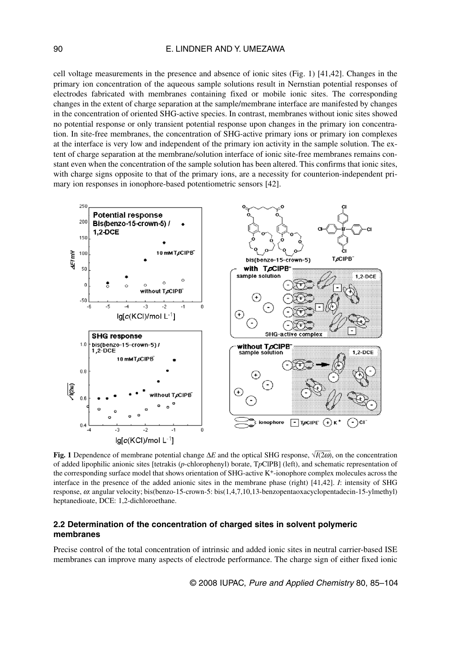cell voltage measurements in the presence and absence of ionic sites (Fig. 1) [41,42]. Changes in the primary ion concentration of the aqueous sample solutions result in Nernstian potential responses of electrodes fabricated with membranes containing fixed or mobile ionic sites. The corresponding changes in the extent of charge separation at the sample/membrane interface are manifested by changes in the concentration of oriented SHG-active species. In contrast, membranes without ionic sites showed no potential response or only transient potential response upon changes in the primary ion concentration. In site-free membranes, the concentration of SHG-active primary ions or primary ion complexes at the interface is very low and independent of the primary ion activity in the sample solution. The extent of charge separation at the membrane/solution interface of ionic site-free membranes remains constant even when the concentration of the sample solution has been altered. This confirms that ionic sites, with charge signs opposite to that of the primary ions, are a necessity for counterion-independent primary ion responses in ionophore-based potentiometric sensors [42].



**Fig. 1** Dependence of membrane potential change  $\Delta E$  and the optical SHG response,  $\sqrt{I(2\omega)}$ , on the concentration of added lipophilic anionic sites [tetrakis (*p*-chlorophenyl) borate, T*p*ClPB] (left), and schematic representation of the corresponding surface model that shows orientation of SHG-active K+-ionophore complex molecules across the interface in the presence of the added anionic sites in the membrane phase (right) [41,42]. *I*: intensity of SHG response, ω: angular velocity; bis(benzo-15-crown-5: bis(1,4,7,10,13-benzopentaoxacyclopentadecin-15-ylmethyl) heptanedioate, DCE: 1,2-dichloroethane.

#### **2.2 Determination of the concentration of charged sites in solvent polymeric membranes**

Precise control of the total concentration of intrinsic and added ionic sites in neutral carrier-based ISE membranes can improve many aspects of electrode performance. The charge sign of either fixed ionic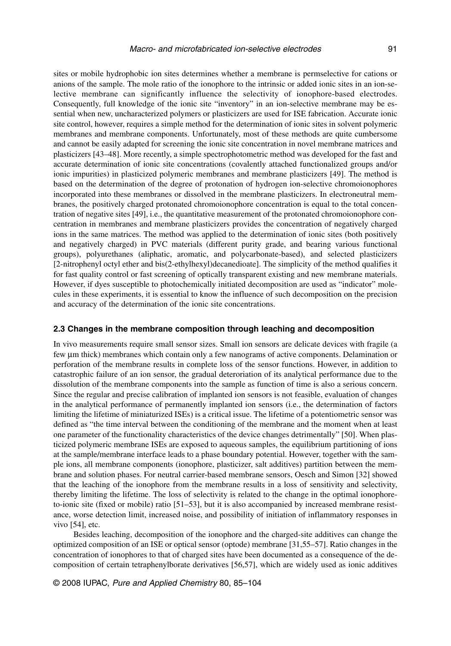sites or mobile hydrophobic ion sites determines whether a membrane is permselective for cations or anions of the sample. The mole ratio of the ionophore to the intrinsic or added ionic sites in an ion-selective membrane can significantly influence the selectivity of ionophore-based electrodes. Consequently, full knowledge of the ionic site "inventory" in an ion-selective membrane may be essential when new, uncharacterized polymers or plasticizers are used for ISE fabrication. Accurate ionic site control, however, requires a simple method for the determination of ionic sites in solvent polymeric membranes and membrane components. Unfortunately, most of these methods are quite cumbersome and cannot be easily adapted for screening the ionic site concentration in novel membrane matrices and plasticizers [43–48]. More recently, a simple spectrophotometric method was developed for the fast and accurate determination of ionic site concentrations (covalently attached functionalized groups and/or ionic impurities) in plasticized polymeric membranes and membrane plasticizers [49]. The method is based on the determination of the degree of protonation of hydrogen ion-selective chromoionophores incorporated into these membranes or dissolved in the membrane plasticizers. In electroneutral membranes, the positively charged protonated chromoionophore concentration is equal to the total concentration of negative sites [49], i.e., the quantitative measurement of the protonated chromoionophore concentration in membranes and membrane plasticizers provides the concentration of negatively charged ions in the same matrices. The method was applied to the determination of ionic sites (both positively and negatively charged) in PVC materials (different purity grade, and bearing various functional groups), polyurethanes (aliphatic, aromatic, and polycarbonate-based), and selected plasticizers [2-nitrophenyl octyl ether and bis(2-ethylhexyl)decanedioate]. The simplicity of the method qualifies it for fast quality control or fast screening of optically transparent existing and new membrane materials. However, if dyes susceptible to photochemically initiated decomposition are used as "indicator" molecules in these experiments, it is essential to know the influence of such decomposition on the precision and accuracy of the determination of the ionic site concentrations.

#### **2.3 Changes in the membrane composition through leaching and decomposition**

In vivo measurements require small sensor sizes. Small ion sensors are delicate devices with fragile (a few µm thick) membranes which contain only a few nanograms of active components. Delamination or perforation of the membrane results in complete loss of the sensor functions. However, in addition to catastrophic failure of an ion sensor, the gradual deteroriation of its analytical performance due to the dissolution of the membrane components into the sample as function of time is also a serious concern. Since the regular and precise calibration of implanted ion sensors is not feasible, evaluation of changes in the analytical performance of permanently implanted ion sensors (i.e., the determination of factors limiting the lifetime of miniaturized ISEs) is a critical issue. The lifetime of a potentiometric sensor was defined as "the time interval between the conditioning of the membrane and the moment when at least one parameter of the functionality characteristics of the device changes detrimentally" [50]. When plasticized polymeric membrane ISEs are exposed to aqueous samples, the equilibrium partitioning of ions at the sample/membrane interface leads to a phase boundary potential. However, together with the sample ions, all membrane components (ionophore, plasticizer, salt additives) partition between the membrane and solution phases. For neutral carrier-based membrane sensors, Oesch and Simon [32] showed that the leaching of the ionophore from the membrane results in a loss of sensitivity and selectivity, thereby limiting the lifetime. The loss of selectivity is related to the change in the optimal ionophoreto-ionic site (fixed or mobile) ratio [51–53], but it is also accompanied by increased membrane resistance, worse detection limit, increased noise, and possibility of initiation of inflammatory responses in vivo [54], etc.

Besides leaching, decomposition of the ionophore and the charged-site additives can change the optimized composition of an ISE or optical sensor (optode) membrane [31,55–57]. Ratio changes in the concentration of ionophores to that of charged sites have been documented as a consequence of the decomposition of certain tetraphenylborate derivatives [56,57], which are widely used as ionic additives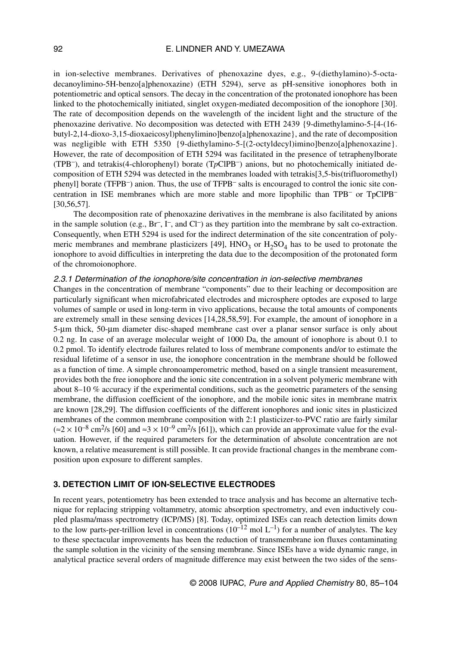in ion-selective membranes. Derivatives of phenoxazine dyes, e.g., 9-(diethylamino)-5-octadecanoylimino-5H-benzo[a]phenoxazine) (ETH 5294), serve as pH-sensitive ionophores both in potentiometric and optical sensors. The decay in the concentration of the protonated ionophore has been linked to the photochemically initiated, singlet oxygen-mediated decomposition of the ionophore [30]. The rate of decomposition depends on the wavelength of the incident light and the structure of the phenoxazine derivative. No decomposition was detected with ETH 2439 {9-dimethylamino-5-[4-(16 butyl-2,14-dioxo-3,15-dioxaeicosyl)phenylimino]benzo[a]phenoxazine}, and the rate of decomposition was negligible with ETH 5350 {9-diethylamino-5- $[(2-octy]$ decyl)imino]benzo[a]phenoxazine}. However, the rate of decomposition of ETH 5294 was facilitated in the presence of tetraphenylborate (TPB–), and tetrakis(4-chlorophenyl) borate (T*p*ClPB–) anions, but no photochemically initiated decomposition of ETH 5294 was detected in the membranes loaded with tetrakis[3,5-bis(trifluoromethyl) phenyl] borate (TFPB–) anion. Thus, the use of TFPB– salts is encouraged to control the ionic site concentration in ISE membranes which are more stable and more lipophilic than TPB– or TpClPB– [30,56,57].

The decomposition rate of phenoxazine derivatives in the membrane is also facilitated by anions in the sample solution (e.g.,  $\text{Br}^-$ ,  $\text{I}^-$ , and  $\text{Cl}^-$ ) as they partition into the membrane by salt co-extraction. Consequently, when ETH 5294 is used for the indirect determination of the site concentration of polymeric membranes and membrane plasticizers [49],  $HNO<sub>3</sub>$  or  $H<sub>2</sub>SO<sub>4</sub>$  has to be used to protonate the ionophore to avoid difficulties in interpreting the data due to the decomposition of the protonated form of the chromoionophore.

#### 2.3.1 Determination of the ionophore/site concentration in ion-selective membranes

Changes in the concentration of membrane "components" due to their leaching or decomposition are particularly significant when microfabricated electrodes and microsphere optodes are exposed to large volumes of sample or used in long-term in vivo applications, because the total amounts of components are extremely small in these sensing devices [14,28,58,59]. For example, the amount of ionophore in a 5-µm thick, 50-µm diameter disc-shaped membrane cast over a planar sensor surface is only about 0.2 ng. In case of an average molecular weight of 1000 Da, the amount of ionophore is about 0.1 to 0.2 pmol. To identify electrode failures related to loss of membrane components and/or to estimate the residual lifetime of a sensor in use, the ionophore concentration in the membrane should be followed as a function of time. A simple chronoamperometric method, based on a single transient measurement, provides both the free ionophore and the ionic site concentration in a solvent polymeric membrane with about 8–10 % accuracy if the experimental conditions, such as the geometric parameters of the sensing membrane, the diffusion coefficient of the ionophore, and the mobile ionic sites in membrane matrix are known [28,29]. The diffusion coefficients of the different ionophores and ionic sites in plasticized membranes of the common membrane composition with 2:1 plasticizer-to-PVC ratio are fairly similar  $(\approx 2 \times 10^{-8} \text{ cm}^2/\text{s}$  [60] and  $\approx 3 \times 10^{-9} \text{ cm}^2/\text{s}$  [61]), which can provide an approximate value for the evaluation. However, if the required parameters for the determination of absolute concentration are not known, a relative measurement is still possible. It can provide fractional changes in the membrane composition upon exposure to different samples.

#### **3. DETECTION LIMIT OF ION-SELECTIVE ELECTRODES**

In recent years, potentiometry has been extended to trace analysis and has become an alternative technique for replacing stripping voltammetry, atomic absorption spectrometry, and even inductively coupled plasma/mass spectrometry (ICP/MS) [8]. Today, optimized ISEs can reach detection limits down to the low parts-per-trillion level in concentrations  $(10^{-12} \text{ mol L}^{-1})$  for a number of analytes. The key to these spectacular improvements has been the reduction of transmembrane ion fluxes contaminating the sample solution in the vicinity of the sensing membrane. Since ISEs have a wide dynamic range, in analytical practice several orders of magnitude difference may exist between the two sides of the sens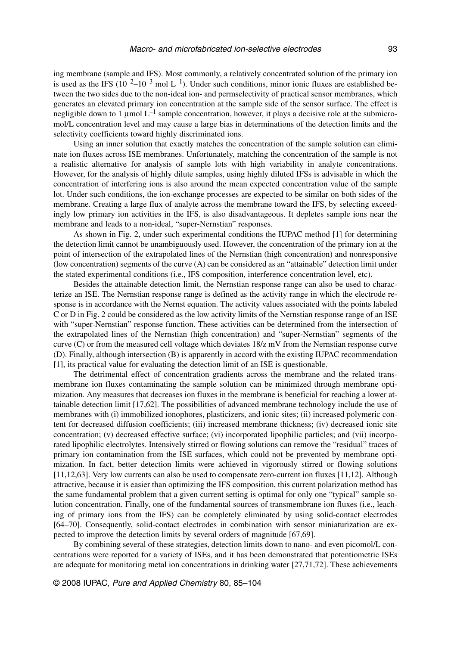ing membrane (sample and IFS). Most commonly, a relatively concentrated solution of the primary ion is used as the IFS ( $10^{-2}$ – $10^{-3}$  mol L<sup>–1</sup>). Under such conditions, minor ionic fluxes are established between the two sides due to the non-ideal ion- and permselectivity of practical sensor membranes, which generates an elevated primary ion concentration at the sample side of the sensor surface. The effect is negligible down to 1 µmol  $L^{-1}$  sample concentration, however, it plays a decisive role at the submicromol/L concentration level and may cause a large bias in determinations of the detection limits and the selectivity coefficients toward highly discriminated ions.

Using an inner solution that exactly matches the concentration of the sample solution can eliminate ion fluxes across ISE membranes. Unfortunately, matching the concentration of the sample is not a realistic alternative for analysis of sample lots with high variability in analyte concentrations. However, for the analysis of highly dilute samples, using highly diluted IFSs is advisable in which the concentration of interfering ions is also around the mean expected concentration value of the sample lot. Under such conditions, the ion-exchange processes are expected to be similar on both sides of the membrane. Creating a large flux of analyte across the membrane toward the IFS, by selecting exceedingly low primary ion activities in the IFS, is also disadvantageous. It depletes sample ions near the membrane and leads to a non-ideal, "super-Nernstian" responses.

As shown in Fig. 2, under such experimental conditions the IUPAC method [1] for determining the detection limit cannot be unambiguously used. However, the concentration of the primary ion at the point of intersection of the extrapolated lines of the Nernstian (high concentration) and nonresponsive (low concentration) segments of the curve (A) can be considered as an "attainable" detection limit under the stated experimental conditions (i.e., IFS composition, interference concentration level, etc).

Besides the attainable detection limit, the Nernstian response range can also be used to characterize an ISE. The Nernstian response range is defined as the activity range in which the electrode response is in accordance with the Nernst equation. The activity values associated with the points labeled C or D in Fig. 2 could be considered as the low activity limits of the Nernstian response range of an ISE with "super-Nernstian" response function. These activities can be determined from the intersection of the extrapolated lines of the Nernstian (high concentration) and "super-Nernstian" segments of the curve (C) or from the measured cell voltage which deviates 18/z mV from the Nernstian response curve (D). Finally, although intersection (B) is apparently in accord with the existing IUPAC recommendation [1], its practical value for evaluating the detection limit of an ISE is questionable.

The detrimental effect of concentration gradients across the membrane and the related transmembrane ion fluxes contaminating the sample solution can be minimized through membrane optimization. Any measures that decreases ion fluxes in the membrane is beneficial for reaching a lower attainable detection limit [17,62]. The possibilities of advanced membrane technology include the use of membranes with (i) immobilized ionophores, plasticizers, and ionic sites; (ii) increased polymeric content for decreased diffusion coefficients; (iii) increased membrane thickness; (iv) decreased ionic site concentration; (v) decreased effective surface; (vi) incorporated lipophilic particles; and (vii) incorporated lipophilic electrolytes. Intensively stirred or flowing solutions can remove the "residual" traces of primary ion contamination from the ISE surfaces, which could not be prevented by membrane optimization. In fact, better detection limits were achieved in vigorously stirred or flowing solutions [11,12,63]. Very low currents can also be used to compensate zero-current ion fluxes [11,12]. Although attractive, because it is easier than optimizing the IFS composition, this current polarization method has the same fundamental problem that a given current setting is optimal for only one "typical" sample solution concentration. Finally, one of the fundamental sources of transmembrane ion fluxes (i.e., leaching of primary ions from the IFS) can be completely eliminated by using solid-contact electrodes [64–70]. Consequently, solid-contact electrodes in combination with sensor miniaturization are expected to improve the detection limits by several orders of magnitude [67,69].

By combining several of these strategies, detection limits down to nano- and even picomol/L concentrations were reported for a variety of ISEs, and it has been demonstrated that potentiometric ISEs are adequate for monitoring metal ion concentrations in drinking water [27,71,72]. These achievements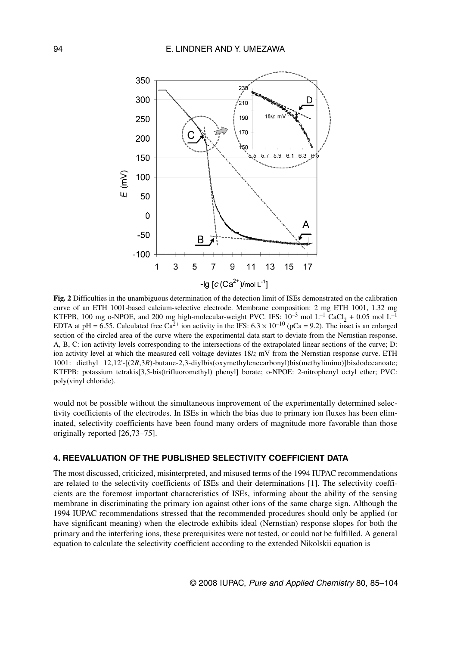

**Fig. 2** Difficulties in the unambiguous determination of the detection limit of ISEs demonstrated on the calibration curve of an ETH 1001-based calcium-selective electrode. Membrane composition: 2 mg ETH 1001, 1.32 mg KTFPB, 100 mg o-NPOE, and 200 mg high-molecular-weight PVC. IFS:  $10^{-3}$  mol L<sup>-1</sup> CaCl<sub>2</sub> + 0.05 mol L<sup>-1</sup> EDTA at pH = 6.55. Calculated free Ca<sup>2+</sup> ion activity in the IFS:  $6.3 \times 10^{-10}$  (pCa = 9.2). The inset is an enlarged section of the circled area of the curve where the experimental data start to deviate from the Nernstian response. A, B, C: ion activity levels corresponding to the intersections of the extrapolated linear sections of the curve; D: ion activity level at which the measured cell voltage deviates 18/*z* mV from the Nernstian response curve. ETH 1001: diethyl 12,12'-[(2*R*,3*R*)-butane-2,3-diylbis(oxymethylenecarbonyl)bis(methylimino)]bisdodecanoate; KTFPB: potassium tetrakis[3,5-bis(trifluoromethyl) phenyl] borate; o-NPOE: 2-nitrophenyl octyl ether; PVC: poly(vinyl chloride).

would not be possible without the simultaneous improvement of the experimentally determined selectivity coefficients of the electrodes. In ISEs in which the bias due to primary ion fluxes has been eliminated, selectivity coefficients have been found many orders of magnitude more favorable than those originally reported [26,73–75].

#### **4. REEVALUATION OF THE PUBLISHED SELECTIVITY COEFFICIENT DATA**

The most discussed, criticized, misinterpreted, and misused terms of the 1994 IUPAC recommendations are related to the selectivity coefficients of ISEs and their determinations [1]. The selectivity coefficients are the foremost important characteristics of ISEs, informing about the ability of the sensing membrane in discriminating the primary ion against other ions of the same charge sign. Although the 1994 IUPAC recommendations stressed that the recommended procedures should only be applied (or have significant meaning) when the electrode exhibits ideal (Nernstian) response slopes for both the primary and the interfering ions, these prerequisites were not tested, or could not be fulfilled. A general equation to calculate the selectivity coefficient according to the extended Nikolskii equation is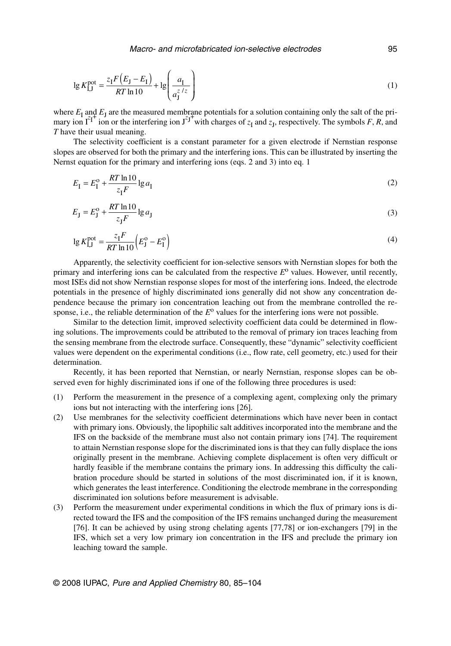$$
\lg K_{\text{I},\text{J}}^{\text{pot}} = \frac{z_{\text{I}} F(E_{\text{J}} - E_{\text{I}})}{RT \ln 10} + \lg \left( \frac{a_{\text{I}}}{a_{\text{J}}^{z/z}} \right)
$$
(1)

where  $E_I$  and  $E_J$  are the measured membrane potentials for a solution containing only the salt of the pri-<br>mary ion  $\overline{I}^{z_1^+}$  ion or the interfering ion  $\overline{J}^{z_1^+}$  with charges of  $z_I$  and  $z_J$ , respectively. *T* have their usual meaning.

The selectivity coefficient is a constant parameter for a given electrode if Nernstian response slopes are observed for both the primary and the interfering ions. This can be illustrated by inserting the Nernst equation for the primary and interfering ions (eqs. 2 and 3) into eq. 1

$$
E_{\rm I} = E_{\rm I}^{\rm o} + \frac{RT \ln 10}{z_{\rm I} F} \lg a_{\rm I} \tag{2}
$$

$$
E_{\mathbf{J}} = E_{\mathbf{J}}^{\mathbf{O}} + \frac{RT \ln 10}{z_{\mathbf{J}} F} \lg a_{\mathbf{J}} \tag{3}
$$

$$
\lg K_{\mathrm{I},\mathrm{J}}^{\mathrm{pot}} = \frac{z_{\mathrm{I}} F}{RT \ln 10} \left( E_{\mathrm{J}}^{\mathrm{o}} - E_{\mathrm{I}}^{\mathrm{o}} \right) \tag{4}
$$

Apparently, the selectivity coefficient for ion-selective sensors with Nernstian slopes for both the primary and interfering ions can be calculated from the respective *E*<sup>o</sup> values. However, until recently, most ISEs did not show Nernstian response slopes for most of the interfering ions. Indeed, the electrode potentials in the presence of highly discriminated ions generally did not show any concentration dependence because the primary ion concentration leaching out from the membrane controlled the response, i.e., the reliable determination of the *E*<sup>o</sup> values for the interfering ions were not possible.

Similar to the detection limit, improved selectivity coefficient data could be determined in flowing solutions. The improvements could be attributed to the removal of primary ion traces leaching from the sensing membrane from the electrode surface. Consequently, these "dynamic" selectivity coefficient values were dependent on the experimental conditions (i.e., flow rate, cell geometry, etc.) used for their determination.

Recently, it has been reported that Nernstian, or nearly Nernstian, response slopes can be observed even for highly discriminated ions if one of the following three procedures is used:

- (1) Perform the measurement in the presence of a complexing agent, complexing only the primary ions but not interacting with the interfering ions [26].
- (2) Use membranes for the selectivity coefficient determinations which have never been in contact with primary ions. Obviously, the lipophilic salt additives incorporated into the membrane and the IFS on the backside of the membrane must also not contain primary ions [74]. The requirement to attain Nernstian response slope for the discriminated ions is that they can fully displace the ions originally present in the membrane. Achieving complete displacement is often very difficult or hardly feasible if the membrane contains the primary ions. In addressing this difficulty the calibration procedure should be started in solutions of the most discriminated ion, if it is known, which generates the least interference. Conditioning the electrode membrane in the corresponding discriminated ion solutions before measurement is advisable.
- (3) Perform the measurement under experimental conditions in which the flux of primary ions is directed toward the IFS and the composition of the IFS remains unchanged during the measurement [76]. It can be achieved by using strong chelating agents [77,78] or ion-exchangers [79] in the IFS, which set a very low primary ion concentration in the IFS and preclude the primary ion leaching toward the sample.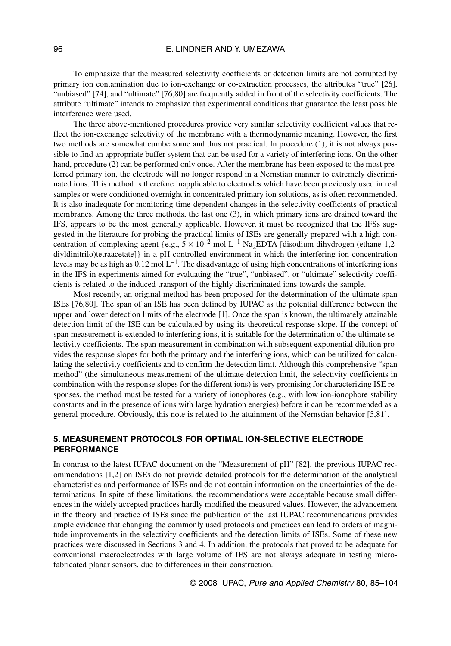To emphasize that the measured selectivity coefficients or detection limits are not corrupted by primary ion contamination due to ion-exchange or co-extraction processes, the attributes "true" [26], "unbiased" [74], and "ultimate" [76,80] are frequently added in front of the selectivity coefficients. The attribute "ultimate" intends to emphasize that experimental conditions that guarantee the least possible interference were used.

The three above-mentioned procedures provide very similar selectivity coefficient values that reflect the ion-exchange selectivity of the membrane with a thermodynamic meaning. However, the first two methods are somewhat cumbersome and thus not practical. In procedure (1), it is not always possible to find an appropriate buffer system that can be used for a variety of interfering ions. On the other hand, procedure (2) can be performed only once. After the membrane has been exposed to the most preferred primary ion, the electrode will no longer respond in a Nernstian manner to extremely discriminated ions. This method is therefore inapplicable to electrodes which have been previously used in real samples or were conditioned overnight in concentrated primary ion solutions, as is often recommended. It is also inadequate for monitoring time-dependent changes in the selectivity coefficients of practical membranes. Among the three methods, the last one (3), in which primary ions are drained toward the IFS, appears to be the most generally applicable. However, it must be recognized that the IFSs suggested in the literature for probing the practical limits of ISEs are generally prepared with a high concentration of complexing agent {e.g.,  $5 \times 10^{-2}$  mol L<sup>-1</sup> Na<sub>2</sub>EDTA [disodium dihydrogen (ethane-1,2diyldinitrilo)tetraacetate]} in a pH-controlled environment in which the interfering ion concentration levels may be as high as  $0.12 \text{ mol } L^{-1}$ . The disadvantage of using high concentrations of interfering ions in the IFS in experiments aimed for evaluating the "true", "unbiased", or "ultimate" selectivity coefficients is related to the induced transport of the highly discriminated ions towards the sample.

Most recently, an original method has been proposed for the determination of the ultimate span ISEs [76,80]. The span of an ISE has been defined by IUPAC as the potential difference between the upper and lower detection limits of the electrode [1]. Once the span is known, the ultimately attainable detection limit of the ISE can be calculated by using its theoretical response slope. If the concept of span measurement is extended to interfering ions, it is suitable for the determination of the ultimate selectivity coefficients. The span measurement in combination with subsequent exponential dilution provides the response slopes for both the primary and the interfering ions, which can be utilized for calculating the selectivity coefficients and to confirm the detection limit. Although this comprehensive "span method" (the simultaneous measurement of the ultimate detection limit, the selectivity coefficients in combination with the response slopes for the different ions) is very promising for characterizing ISE responses, the method must be tested for a variety of ionophores (e.g., with low ion-ionophore stability constants and in the presence of ions with large hydration energies) before it can be recommended as a general procedure. Obviously, this note is related to the attainment of the Nernstian behavior [5,81].

#### **5. MEASUREMENT PROTOCOLS FOR OPTIMAL ION-SELECTIVE ELECTRODE PERFORMANCE**

In contrast to the latest IUPAC document on the "Measurement of pH" [82], the previous IUPAC recommendations [1,2] on ISEs do not provide detailed protocols for the determination of the analytical characteristics and performance of ISEs and do not contain information on the uncertainties of the determinations. In spite of these limitations, the recommendations were acceptable because small differences in the widely accepted practices hardly modified the measured values. However, the advancement in the theory and practice of ISEs since the publication of the last IUPAC recommendations provides ample evidence that changing the commonly used protocols and practices can lead to orders of magnitude improvements in the selectivity coefficients and the detection limits of ISEs. Some of these new practices were discussed in Sections 3 and 4. In addition, the protocols that proved to be adequate for conventional macroelectrodes with large volume of IFS are not always adequate in testing microfabricated planar sensors, due to differences in their construction.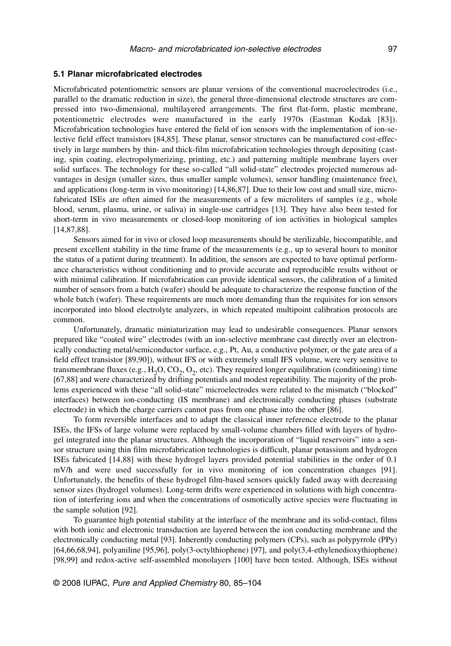#### **5.1 Planar microfabricated electrodes**

Microfabricated potentiometric sensors are planar versions of the conventional macroelectrodes (i.e., parallel to the dramatic reduction in size), the general three-dimensional electrode structures are compressed into two-dimensional, multilayered arrangements. The first flat-form, plastic membrane, potentiometric electrodes were manufactured in the early 1970s (Eastman Kodak [83]). Microfabrication technologies have entered the field of ion sensors with the implementation of ion-selective field effect transistors [84,85]. These planar, sensor structures can be manufactured cost-effectively in large numbers by thin- and thick-film microfabrication technologies through depositing (casting, spin coating, electropolymerizing, printing, etc.) and patterning multiple membrane layers over solid surfaces. The technology for these so-called "all solid-state" electrodes projected numerous advantages in design (smaller sizes, thus smaller sample volumes), sensor handling (maintenance free), and applications (long-term in vivo monitoring) [14,86,87]. Due to their low cost and small size, microfabricated ISEs are often aimed for the measurements of a few microliters of samples (e.g., whole blood, serum, plasma, urine, or saliva) in single-use cartridges [13]. They have also been tested for short-term in vivo measurements or closed-loop monitoring of ion activities in biological samples [14,87,88].

Sensors aimed for in vivo or closed loop measurements should be sterilizable, biocompatible, and present excellent stability in the time frame of the measurements (e.g., up to several hours to monitor the status of a patient during treatment). In addition, the sensors are expected to have optimal performance characteristics without conditioning and to provide accurate and reproducible results without or with minimal calibration. If microfabrication can provide identical sensors, the calibration of a limited number of sensors from a batch (wafer) should be adequate to characterize the response function of the whole batch (wafer). These requirements are much more demanding than the requisites for ion sensors incorporated into blood electrolyte analyzers, in which repeated multipoint calibration protocols are common.

Unfortunately, dramatic miniaturization may lead to undesirable consequences. Planar sensors prepared like "coated wire" electrodes (with an ion-selective membrane cast directly over an electronically conducting metal/semiconductor surface, e.g., Pt, Au, a conductive polymer, or the gate area of a field effect transistor [89,90]), without IFS or with extremely small IFS volume, were very sensitive to transmembrane fluxes (e.g.,  $H_2O$ ,  $CO_2$ ,  $O_2$ , etc). They required longer equilibration (conditioning) time [67,88] and were characterized by drifting potentials and modest repeatibility. The majority of the problems experienced with these "all solid-state" microelectrodes were related to the mismatch ("blocked" interfaces) between ion-conducting (IS membrane) and electronically conducting phases (substrate electrode) in which the charge carriers cannot pass from one phase into the other [86].

To form reversible interfaces and to adapt the classical inner reference electrode to the planar ISEs, the IFSs of large volume were replaced by small-volume chambers filled with layers of hydrogel integrated into the planar structures. Although the incorporation of "liquid reservoirs" into a sensor structure using thin film microfabrication technologies is difficult, planar potassium and hydrogen ISEs fabricated [14,88] with these hydrogel layers provided potential stabilities in the order of 0.1 mV/h and were used successfully for in vivo monitoring of ion concentration changes [91]. Unfortunately, the benefits of these hydrogel film-based sensors quickly faded away with decreasing sensor sizes (hydrogel volumes). Long-term drifts were experienced in solutions with high concentration of interfering ions and when the concentrations of osmotically active species were fluctuating in the sample solution [92].

To guarantee high potential stability at the interface of the membrane and its solid-contact, films with both ionic and electronic transduction are layered between the ion conducting membrane and the electronically conducting metal [93]. Inherently conducting polymers (CPs), such as polypyrrole (PPy) [64,66,68,94], polyaniline [95,96], poly(3-octylthiophene) [97], and poly(3,4-ethylenedioxythiophene) [98,99] and redox-active self-assembled monolayers [100] have been tested. Although, ISEs without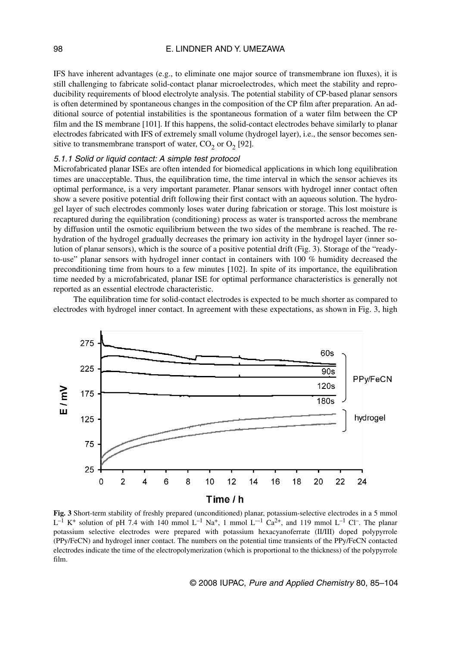IFS have inherent advantages (e.g., to eliminate one major source of transmembrane ion fluxes), it is still challenging to fabricate solid-contact planar microelectrodes, which meet the stability and reproducibility requirements of blood electrolyte analysis. The potential stability of CP-based planar sensors is often determined by spontaneous changes in the composition of the CP film after preparation. An additional source of potential instabilities is the spontaneous formation of a water film between the CP film and the IS membrane [101]. If this happens, the solid-contact electrodes behave similarly to planar electrodes fabricated with IFS of extremely small volume (hydrogel layer), i.e., the sensor becomes sensitive to transmembrane transport of water,  $CO<sub>2</sub>$  or  $O<sub>2</sub>$  [92].

#### 5.1.1 Solid or liquid contact: A simple test protocol

Microfabricated planar ISEs are often intended for biomedical applications in which long equilibration times are unacceptable. Thus, the equilibration time, the time interval in which the sensor achieves its optimal performance, is a very important parameter. Planar sensors with hydrogel inner contact often show a severe positive potential drift following their first contact with an aqueous solution. The hydrogel layer of such electrodes commonly loses water during fabrication or storage. This lost moisture is recaptured during the equilibration (conditioning) process as water is transported across the membrane by diffusion until the osmotic equilibrium between the two sides of the membrane is reached. The rehydration of the hydrogel gradually decreases the primary ion activity in the hydrogel layer (inner solution of planar sensors), which is the source of a positive potential drift (Fig. 3). Storage of the "readyto-use" planar sensors with hydrogel inner contact in containers with 100 % humidity decreased the preconditioning time from hours to a few minutes [102]. In spite of its importance, the equilibration time needed by a microfabricated, planar ISE for optimal performance characteristics is generally not reported as an essential electrode characteristic.

The equilibration time for solid-contact electrodes is expected to be much shorter as compared to electrodes with hydrogel inner contact. In agreement with these expectations, as shown in Fig. 3, high



**Fig. 3** Short-term stability of freshly prepared (unconditioned) planar, potassium-selective electrodes in a 5 mmol  $L^{-1}$  K<sup>+</sup> solution of pH 7.4 with 140 mmol  $L^{-1}$  Na<sup>+</sup>, 1 mmol  $L^{-1}$  Ca<sup>2+</sup>, and 119 mmol  $L^{-1}$  Cl<sup>-</sup>. The planar potassium selective electrodes were prepared with potassium hexacyanoferrate (II/III) doped polypyrrole (PPy/FeCN) and hydrogel inner contact. The numbers on the potential time transients of the PPy/FeCN contacted electrodes indicate the time of the electropolymerization (which is proportional to the thickness) of the polypyrrole film.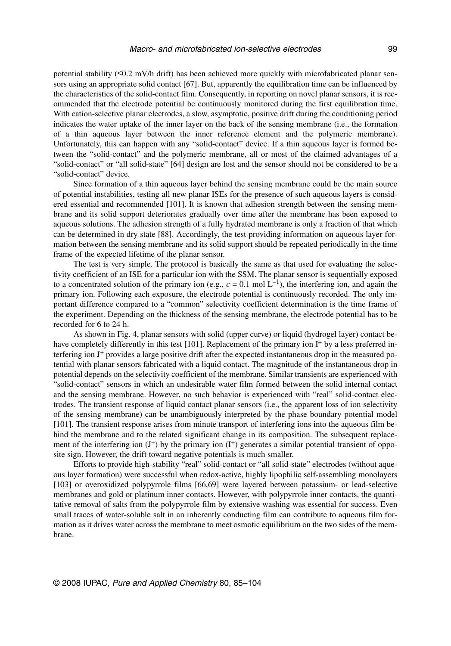potential stability  $(\leq 0.2 \text{ mV/h} \text{ drift})$  has been achieved more quickly with microfabricated planar sensors using an appropriate solid contact [67]. But, apparently the equilibration time can be influenced by the characteristics of the solid-contact film. Consequently, in reporting on novel planar sensors, it is recommended that the electrode potential be continuously monitored during the first equilibration time. With cation-selective planar electrodes, a slow, asymptotic, positive drift during the conditioning period indicates the water uptake of the inner layer on the back of the sensing membrane (i.e., the formation of a thin aqueous layer between the inner reference element and the polymeric membrane). Unfortunately, this can happen with any "solid-contact" device. If a thin aqueous layer is formed between the "solid-contact" and the polymeric membrane, all or most of the claimed advantages of a "solid-contact" or "all solid-state" [64] design are lost and the sensor should not be considered to be a "solid-contact" device.

Since formation of a thin aqueous layer behind the sensing membrane could be the main source of potential instabilities, testing all new planar ISEs for the presence of such aqueous layers is considered essential and recommended [101]. It is known that adhesion strength between the sensing membrane and its solid support deteriorates gradually over time after the membrane has been exposed to aqueous solutions. The adhesion strength of a fully hydrated membrane is only a fraction of that which can be determined in dry state [88]. Accordingly, the test providing information on aqueous layer formation between the sensing membrane and its solid support should be repeated periodically in the time frame of the expected lifetime of the planar sensor.

The test is very simple. The protocol is basically the same as that used for evaluating the selectivity coefficient of an ISE for a particular ion with the SSM. The planar sensor is sequentially exposed to a concentrated solution of the primary ion (e.g.,  $c = 0.1$  mol  $L^{-1}$ ), the interfering ion, and again the primary ion. Following each exposure, the electrode potential is continuously recorded. The only important difference compared to a "common" selectivity coefficient determination is the time frame of the experiment. Depending on the thickness of the sensing membrane, the electrode potential has to be recorded for 6 to 24 h.

As shown in Fig. 4, planar sensors with solid (upper curve) or liquid (hydrogel layer) contact behave completely differently in this test [101]. Replacement of the primary ion I<sup>+</sup> by a less preferred interfering ion  $J^+$  provides a large positive drift after the expected instantaneous drop in the measured potential with planar sensors fabricated with a liquid contact. The magnitude of the instantaneous drop in potential depends on the selectivity coefficient of the membrane. Similar transients are experienced with "solid-contact" sensors in which an undesirable water film formed between the solid internal contact and the sensing membrane. However, no such behavior is experienced with "real" solid-contact electrodes. The transient response of liquid contact planar sensors (i.e., the apparent loss of ion selectivity of the sensing membrane) can be unambiguously interpreted by the phase boundary potential model [101]. The transient response arises from minute transport of interfering ions into the aqueous film behind the membrane and to the related significant change in its composition. The subsequent replacement of the interfering ion  $(J^+)$  by the primary ion  $(I^+)$  generates a similar potential transient of opposite sign. However, the drift toward negative potentials is much smaller.

Efforts to provide high-stability "real" solid-contact or "all solid-state" electrodes (without aqueous layer formation) were successful when redox-active, highly lipophilic self-assembling monolayers [103] or overoxidized polypyrrole films [66,69] were layered between potassium- or lead-selective membranes and gold or platinum inner contacts. However, with polypyrrole inner contacts, the quantitative removal of salts from the polypyrrole film by extensive washing was essential for success. Even small traces of water-soluble salt in an inherently conducting film can contribute to aqueous film formation as it drives water across the membrane to meet osmotic equilibrium on the two sides of the membrane.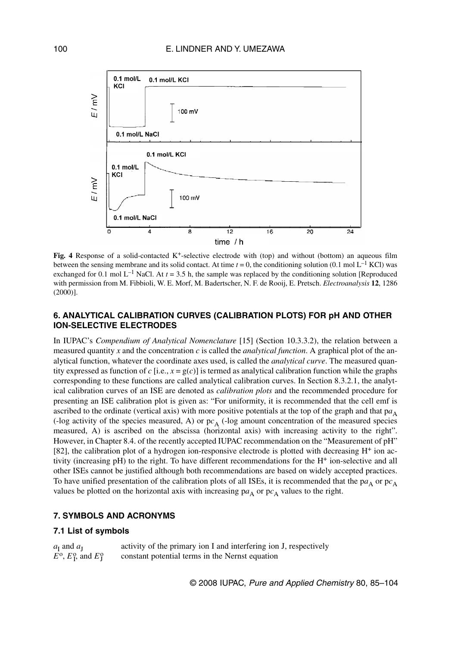

**Fig. 4** Response of a solid-contacted K<sup>+</sup>-selective electrode with (top) and without (bottom) an aqueous film between the sensing membrane and its solid contact. At time  $t = 0$ , the conditioning solution (0.1 mol L<sup>-1</sup> KCl) was exchanged for 0.1 mol  $L^{-1}$  NaCl. At  $t = 3.5$  h, the sample was replaced by the conditioning solution [Reproduced with permission from M. Fibbioli, W. E. Morf, M. Badertscher, N. F. de Rooij, E. Pretsch. *Electroanalysis* **12**, 1286 (2000)].

## **6. ANALYTICAL CALIBRATION CURVES (CALIBRATION PLOTS) FOR pH AND OTHER ION-SELECTIVE ELECTRODES**

In IUPAC's *Compendium of Analytical Nomenclature* [15] (Section 10.3.3.2), the relation between a measured quantity x and the concentration  $c$  is called the *analytical function*. A graphical plot of the analytical function, whatever the coordinate axes used, is called the *analytical curve*. The measured quantity expressed as function of *c* [i.e.,  $x = g(c)$ ] is termed as analytical calibration function while the graphs corresponding to these functions are called analytical calibration curves. In Section 8.3.2.1, the analytical calibration curves of an ISE are denoted as *calibration plots* and the recommended procedure for presenting an ISE calibration plot is given as: "For uniformity, it is recommended that the cell emf is ascribed to the ordinate (vertical axis) with more positive potentials at the top of the graph and that  $pa<sub>A</sub>$ (-log activity of the species measured, A) or  $pc_A$  (-log amount concentration of the measured species measured, A) is ascribed on the abscissa (horizontal axis) with increasing activity to the right". However, in Chapter 8.4. of the recently accepted IUPAC recommendation on the "Measurement of pH" [82], the calibration plot of a hydrogen ion-responsive electrode is plotted with decreasing  $H^+$  ion activity (increasing  $pH$ ) to the right. To have different recommendations for the  $H<sup>+</sup>$  ion-selective and all other ISEs cannot be justified although both recommendations are based on widely accepted practices. To have unified presentation of the calibration plots of all ISEs, it is recommended that the  $pa_A$  or  $pc_A$ values be plotted on the horizontal axis with increasing  $pa_A$  or  $pc_A$  values to the right.

#### **7. SYMBOLS AND ACRONYMS**

#### **7.1 List of symbols**

 $a<sub>I</sub>$  and  $a<sub>J</sub>$  activity of the primary ion I and interfering ion J, respectively  $\overline{E}^0$ ,  $E^0$ <sub>I</sub>, and  $E^0$ <sub>J</sub> constant potential terms in the Nernst equation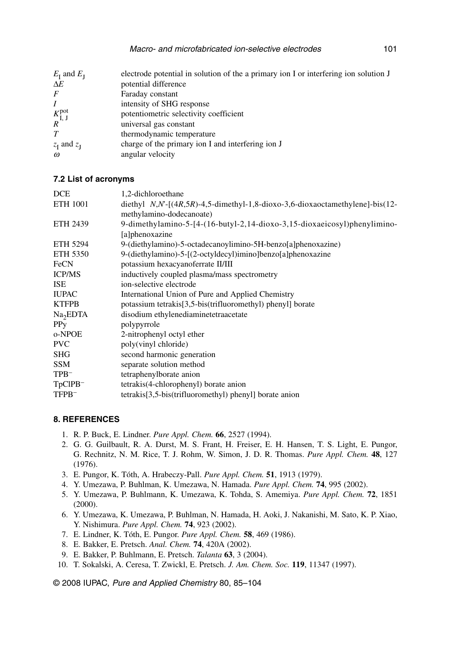| $E_I$ and $E_I$                   | electrode potential in solution of the a primary ion I or interfering ion solution J |
|-----------------------------------|--------------------------------------------------------------------------------------|
| $\Delta E$                        | potential difference                                                                 |
| F                                 | Faraday constant                                                                     |
|                                   | intensity of SHG response                                                            |
| $K_{\rm I,\,J}^{\rm pot} \over R$ | potentiometric selectivity coefficient                                               |
|                                   | universal gas constant                                                               |
| T                                 | thermodynamic temperature                                                            |
| $z_I$ and $z_I$                   | charge of the primary ion I and interfering ion J                                    |
| $\omega$                          | angular velocity                                                                     |

### **7.2 List of acronyms**

| <b>DCE</b>           | 1,2-dichloroethane                                                                |
|----------------------|-----------------------------------------------------------------------------------|
| <b>ETH 1001</b>      | diethyl $N, N-[(4R, 5R)-4, 5$ -dimethyl-1,8-dioxo-3,6-dioxaoctamethylene]-bis(12- |
|                      | methylamino-dodecanoate)                                                          |
| <b>ETH 2439</b>      | 9-dimethylamino-5-[4-(16-butyl-2,14-dioxo-3,15-dioxaeicosyl)phenylimino-          |
|                      | [a]phenoxazine                                                                    |
| ETH 5294             | 9-(diethylamino)-5-octadecanoylimino-5H-benzo[a]phenoxazine)                      |
| <b>ETH 5350</b>      | 9-(diethylamino)-5-[(2-octyldecyl)imino]benzo[a]phenoxazine                       |
| FeCN                 | potassium hexacyanoferrate II/III                                                 |
| <b>ICP/MS</b>        | inductively coupled plasma/mass spectrometry                                      |
| <b>ISE</b>           | ion-selective electrode                                                           |
| <b>IUPAC</b>         | International Union of Pure and Applied Chemistry                                 |
| <b>KTFPB</b>         | potassium tetrakis[3,5-bis(trifluoromethyl) phenyl] borate                        |
| Na <sub>2</sub> EDTA | disodium ethylenediaminetetraacetate                                              |
| <b>PPy</b>           | polypyrrole                                                                       |
| o-NPOE               | 2-nitrophenyl octyl ether                                                         |
| <b>PVC</b>           | poly(vinyl chloride)                                                              |
| <b>SHG</b>           | second harmonic generation                                                        |
| <b>SSM</b>           | separate solution method                                                          |
| $TPB^-$              | tetraphenylborate anion                                                           |
| TpClPB <sup>-</sup>  | tetrakis(4-chlorophenyl) borate anion                                             |
| TFPB <sup>-</sup>    | tetrakis[3,5-bis(trifluoromethyl) phenyl] borate anion                            |
|                      |                                                                                   |

#### **8. REFERENCES**

- 1. R. P. Buck, E. Lindner. *Pure Appl. Chem.* **66**, 2527 (1994).
- 2. G. G. Guilbault, R. A. Durst, M. S. Frant, H. Freiser, E. H. Hansen, T. S. Light, E. Pungor, G. Rechnitz, N. M. Rice, T. J. Rohm, W. Simon, J. D. R. Thomas. *Pure Appl. Chem.* **48**, 127 (1976).
- 3. E. Pungor, K. Tóth, A. Hrabeczy-Pall. *Pure Appl. Chem.* **51**, 1913 (1979).
- 4. Y. Umezawa, P. Buhlman, K. Umezawa, N. Hamada. *Pure Appl. Chem.* **74**, 995 (2002).
- 5. Y. Umezawa, P. Buhlmann, K. Umezawa, K. Tohda, S. Amemiya. *Pure Appl. Chem.* **72**, 1851 (2000).
- 6. Y. Umezawa, K. Umezawa, P. Buhlman, N. Hamada, H. Aoki, J. Nakanishi, M. Sato, K. P. Xiao, Y. Nishimura. *Pure Appl. Chem.* **74**, 923 (2002).
- 7. E. Lindner, K. Tóth, E. Pungor. *Pure Appl. Chem.* **58**, 469 (1986).
- 8. E. Bakker, E. Pretsch. *Anal. Chem.* **74**, 420A (2002).
- 9. E. Bakker, P. Buhlmann, E. Pretsch. *Talanta* **63**, 3 (2004).
- 10. T. Sokalski, A. Ceresa, T. Zwickl, E. Pretsch. *J. Am. Chem. Soc.* **119**, 11347 (1997).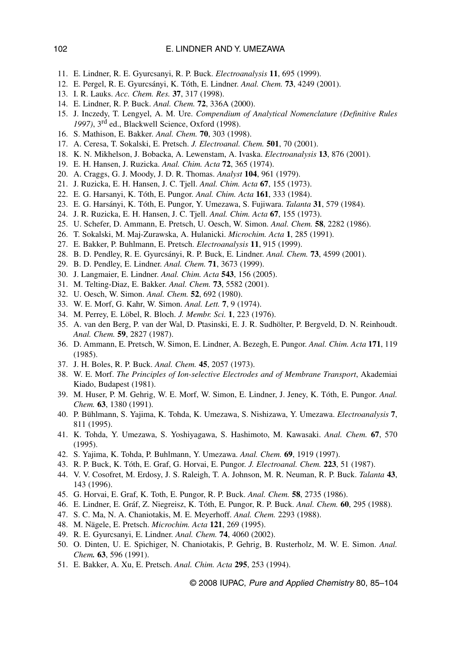- 11. E. Lindner, R. E. Gyurcsanyi, R. P. Buck. *Electroanalysis* **11**, 695 (1999).
- 12. E. Pergel, R. E. Gyurcsányi, K. Tóth, E. Lindner. *Anal. Chem.* **73**, 4249 (2001).
- 13. I. R. Lauks. *Acc. Chem. Res.* **37**, 317 (1998).
- 14. E. Lindner, R. P. Buck. *Anal. Chem.* **72**, 336A (2000).
- 15. J. Inczedy, T. Lengyel, A. M. Ure. *Compendium of Analytical Nomenclature (Definitive Rules 1997)*, 3rd ed., Blackwell Science, Oxford (1998).
- 16. S. Mathison, E. Bakker. *Anal. Chem.* **70**, 303 (1998).
- 17. A. Ceresa, T. Sokalski, E. Pretsch. *J. Electroanal. Chem.* **501**, 70 (2001).
- 18. K. N. Mikhelson, J. Bobacka, A. Lewenstam, A. Ivaska. *Electroanalysis* **13**, 876 (2001).
- 19. E. H. Hansen, J. Ruzicka. *Anal. Chim. Acta* **72**, 365 (1974).
- 20. A. Craggs, G. J. Moody, J. D. R. Thomas. *Analyst* **104**, 961 (1979).
- 21. J. Ruzicka, E. H. Hansen, J. C. Tjell. *Anal. Chim. Acta* **67**, 155 (1973).
- 22. E. G. Harsanyi, K. Tóth, E. Pungor. *Anal. Chim. Acta* **161**, 333 (1984).
- 23. E. G. Harsányi, K. Tóth, E. Pungor, Y. Umezawa, S. Fujiwara. *Talanta* **31**, 579 (1984).
- 24. J. R. Ruzicka, E. H. Hansen, J. C. Tjell. *Anal. Chim. Acta* **67**, 155 (1973).
- 25. U. Schefer, D. Ammann, E. Pretsch, U. Oesch, W. Simon. *Anal. Chem.* **58**, 2282 (1986).
- 26. T. Sokalski, M. Maj-Zurawska, A. Hulanicki. *Microchim. Acta* **1**, 285 (1991).
- 27. E. Bakker, P. Buhlmann, E. Pretsch. *Electroanalysis* **11**, 915 (1999).
- 28. B. D. Pendley, R. E. Gyurcsányi, R. P. Buck, E. Lindner. *Anal. Chem.* **73**, 4599 (2001).
- 29. B. D. Pendley, E. Lindner. *Anal. Chem.* **71**, 3673 (1999).
- 30. J. Langmaier, E. Lindner. *Anal. Chim. Acta* **543**, 156 (2005).
- 31. M. Telting-Diaz, E. Bakker. *Anal. Chem.* **73**, 5582 (2001).
- 32. U. Oesch, W. Simon. *Anal. Chem.* **52**, 692 (1980).
- 33. W. E. Morf, G. Kahr, W. Simon. *Anal. Lett.* **7**, 9 (1974).
- 34. M. Perrey, E. Löbel, R. Bloch. *J. Membr. Sci.* **1**, 223 (1976).
- 35. A. van den Berg, P. van der Wal, D. Ptasinski, E. J. R. Sudhölter, P. Bergveld, D. N. Reinhoudt. *Anal. Chem.* **59**, 2827 (1987).
- 36. D. Ammann, E. Pretsch, W. Simon, E. Lindner, A. Bezegh, E. Pungor. *Anal. Chim. Acta* **171**, 119 (1985).
- 37. J. H. Boles, R. P. Buck. *Anal. Chem.* **45**, 2057 (1973).
- 38. W. E. Morf. *The Principles of Ion-selective Electrodes and of Membrane Transport*, Akademiai Kiado, Budapest (1981).
- 39. M. Huser, P. M. Gehrig, W. E. Morf, W. Simon, E. Lindner, J. Jeney, K. Tóth, E. Pungor. *Anal. Chem.* **63**, 1380 (1991).
- 40. P. Bühlmann, S. Yajima, K. Tohda, K. Umezawa, S. Nishizawa, Y. Umezawa. *Electroanalysis* **7**, 811 (1995).
- 41. K. Tohda, Y. Umezawa, S. Yoshiyagawa, S. Hashimoto, M. Kawasaki. *Anal. Chem.* **67**, 570 (1995).
- 42. S. Yajima, K. Tohda, P. Buhlmann, Y. Umezawa. *Anal. Chem.* **69**, 1919 (1997).
- 43. R. P. Buck, K. Tóth, E. Graf, G. Horvai, E. Pungor. *J. Electroanal. Chem.* **223**, 51 (1987).
- 44. V. V. Cosofret, M. Erdosy, J. S. Raleigh, T. A. Johnson, M. R. Neuman, R. P. Buck. *Talanta* **43**, 143 (1996).
- 45. G. Horvai, E. Graf, K. Toth, E. Pungor, R. P. Buck. *Anal. Chem.* **58**, 2735 (1986).
- 46. E. Lindner, E. Gráf, Z. Niegreisz, K. Tóth, E. Pungor, R. P. Buck. *Anal. Chem.* **60**, 295 (1988).
- 47. S. C. Ma, N. A. Chaniotakis, M. E. Meyerhoff. *Anal. Chem.* 2293 (1988).
- 48. M. Nägele, E. Pretsch. *Microchim. Acta* **121**, 269 (1995).
- 49. R. E. Gyurcsanyi, E. Lindner. *Anal. Chem.* **74**, 4060 (2002).
- 50. O. Dinten, U. E. Spichiger, N. Chaniotakis, P. Gehrig, B. Rusterholz, M. W. E. Simon. *Anal. Chem.* **63**, 596 (1991).
- 51. E. Bakker, A. Xu, E. Pretsch. *Anal. Chim. Acta* **295**, 253 (1994).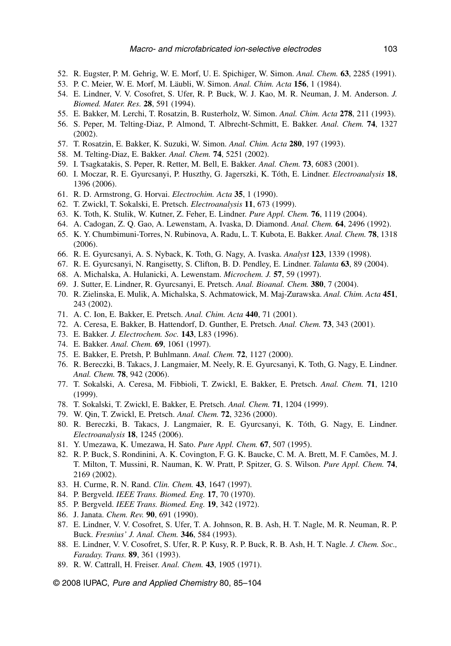- 52. R. Eugster, P. M. Gehrig, W. E. Morf, U. E. Spichiger, W. Simon. *Anal. Chem.* **63**, 2285 (1991).
- 53. P. C. Meier, W. E. Morf, M. Läubli, W. Simon. *Anal. Chim. Acta* **156**, 1 (1984).
- 54. E. Lindner, V. V. Cosofret, S. Ufer, R. P. Buck, W. J. Kao, M. R. Neuman, J. M. Anderson. *J. Biomed. Mater. Res.* **28**, 591 (1994).
- 55. E. Bakker, M. Lerchi, T. Rosatzin, B. Rusterholz, W. Simon. *Anal. Chim. Acta* **278**, 211 (1993).
- 56. S. Peper, M. Telting-Diaz, P. Almond, T. Albrecht-Schmitt, E. Bakker. *Anal. Chem.* **74**, 1327 (2002).
- 57. T. Rosatzin, E. Bakker, K. Suzuki, W. Simon. *Anal. Chim. Acta* **280**, 197 (1993).
- 58. M. Telting-Diaz, E. Bakker. *Anal. Chem.* **74**, 5251 (2002).
- 59. I. Tsagkatakis, S. Peper, R. Retter, M. Bell, E. Bakker. *Anal. Chem.* **73**, 6083 (2001).
- 60. I. Moczar, R. E. Gyurcsanyi, P. Huszthy, G. Jagerszki, K. Tóth, E. Lindner. *Electroanalysis* **18**, 1396 (2006).
- 61. R. D. Armstrong, G. Horvai. *Electrochim. Acta* **35**, 1 (1990).
- 62. T. Zwickl, T. Sokalski, E. Pretsch. *Electroanalysis* **11**, 673 (1999).
- 63. K. Toth, K. Stulik, W. Kutner, Z. Feher, E. Lindner. *Pure Appl. Chem.* **76**, 1119 (2004).
- 64. A. Cadogan, Z. Q. Gao, A. Lewenstam, A. Ivaska, D. Diamond. *Anal. Chem.* **64**, 2496 (1992).
- 65. K. Y. Chumbimuni-Torres, N. Rubinova, A. Radu, L. T. Kubota, E. Bakker. *Anal. Chem.* **78**, 1318 (2006).
- 66. R. E. Gyurcsanyi, A. S. Nyback, K. Toth, G. Nagy, A. Ivaska. *Analyst* **123**, 1339 (1998).
- 67. R. E. Gyurcsanyi, N. Rangisetty, S. Clifton, B. D. Pendley, E. Lindner. *Talanta* **63**, 89 (2004).
- 68. A. Michalska, A. Hulanicki, A. Lewenstam. *Microchem. J.* **57**, 59 (1997).
- 69. J. Sutter, E. Lindner, R. Gyurcsanyi, E. Pretsch. *Anal. Bioanal. Chem.* **380**, 7 (2004).
- 70. R. Zielinska, E. Mulik, A. Michalska, S. Achmatowick, M. Maj-Zurawska. *Anal. Chim. Acta* **451**, 243 (2002).
- 71. A. C. Ion, E. Bakker, E. Pretsch. *Anal. Chim. Acta* **440**, 71 (2001).
- 72. A. Ceresa, E. Bakker, B. Hattendorf, D. Gunther, E. Pretsch. *Anal. Chem.* **73**, 343 (2001).
- 73. E. Bakker. *J. Electrochem. Soc.* **143**, L83 (1996).
- 74. E. Bakker. *Anal. Chem.* **69**, 1061 (1997).
- 75. E. Bakker, E. Pretsh, P. Buhlmann. *Anal. Chem.* **72**, 1127 (2000).
- 76. R. Bereczki, B. Takacs, J. Langmaier, M. Neely, R. E. Gyurcsanyi, K. Toth, G. Nagy, E. Lindner. *Anal. Chem.* **78**, 942 (2006).
- 77. T. Sokalski, A. Ceresa, M. Fibbioli, T. Zwickl, E. Bakker, E. Pretsch. *Anal. Chem.* **71**, 1210 (1999).
- 78. T. Sokalski, T. Zwickl, E. Bakker, E. Pretsch. *Anal. Chem.* **71**, 1204 (1999).
- 79. W. Qin, T. Zwickl, E. Pretsch. *Anal. Chem.* **72**, 3236 (2000).
- 80. R. Bereczki, B. Takacs, J. Langmaier, R. E. Gyurcsanyi, K. Tóth, G. Nagy, E. Lindner. *Electroanalysis* **18**, 1245 (2006).
- 81. Y. Umezawa, K. Umezawa, H. Sato. *Pure Appl. Chem.* **67**, 507 (1995).
- 82. R. P. Buck, S. Rondinini, A. K. Covington, F. G. K. Baucke, C. M. A. Brett, M. F. Camões, M. J. T. Milton, T. Mussini, R. Nauman, K. W. Pratt, P. Spitzer, G. S. Wilson. *Pure Appl. Chem.* **74**, 2169 (2002).
- 83. H. Curme, R. N. Rand. *Clin. Chem.* **43**, 1647 (1997).
- 84. P. Bergveld. *IEEE Trans. Biomed. Eng.* **17**, 70 (1970).
- 85. P. Bergveld. *IEEE Trans. Biomed. Eng.* **19**, 342 (1972).
- 86. J. Janata. *Chem. Rev.* **90**, 691 (1990).
- 87. E. Lindner, V. V. Cosofret, S. Ufer, T. A. Johnson, R. B. Ash, H. T. Nagle, M. R. Neuman, R. P. Buck. *Fresnius' J. Anal. Chem.* **346**, 584 (1993).
- 88. E. Lindner, V. V. Cosofret, S. Ufer, R. P. Kusy, R. P. Buck, R. B. Ash, H. T. Nagle. *J. Chem. Soc., Faraday. Trans.* **89**, 361 (1993).
- 89. R. W. Cattrall, H. Freiser. *Anal. Chem.* **43**, 1905 (1971).